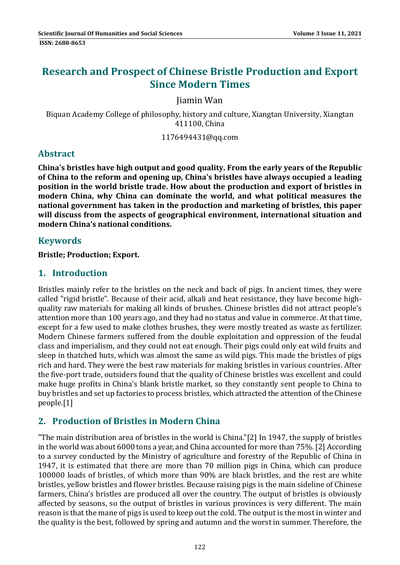# **Research and Prospect of Chinese Bristle Production and Export Since Modern Times**

### Jiamin Wan

Biquan Academy College of philosophy, history and culture, Xiangtan University, Xiangtan 411100, China

1176494431@qq.com 

### **Abstract**

**China's bristles have high output and good quality. From the early years of the Republic of China to the reform and opening up, China's bristles have always occupied a leading position in the world bristle trade. How about the production and export of bristles in modern China, why China can dominate the world, and what political measures the national government has taken in the production and marketing of bristles, this paper will discuss from the aspects of geographical environment, international situation and modern China's national conditions.**

### **Keywords**

**Bristle; Production; Export.**

### **1. Introduction**

Bristles mainly refer to the bristles on the neck and back of pigs. In ancient times, they were called "rigid bristle". Because of their acid, alkali and heat resistance, they have become highquality raw materials for making all kinds of brushes. Chinese bristles did not attract people's attention more than 100 years ago, and they had no status and value in commerce. At that time, except for a few used to make clothes brushes, they were mostly treated as waste as fertilizer. Modern Chinese farmers suffered from the double exploitation and oppression of the feudal class and imperialism, and they could not eat enough. Their pigs could only eat wild fruits and sleep in thatched huts, which was almost the same as wild pigs. This made the bristles of pigs rich and hard. They were the best raw materials for making bristles in various countries. After the five-port trade, outsiders found that the quality of Chinese bristles was excellent and could make huge profits in China's blank bristle market, so they constantly sent people to China to buy bristles and set up factories to process bristles, which attracted the attention of the Chinese people.[1] 

# **2. Production of Bristles in Modern China**

"The main distribution area of bristles in the world is China."[2] In 1947, the supply of bristles in the world was about  $6000$  tons a year, and China accounted for more than  $75\%$ . [2] According to a survey conducted by the Ministry of agriculture and forestry of the Republic of China in 1947, it is estimated that there are more than 70 million pigs in China, which can produce 100000 loads of bristles, of which more than 90% are black bristles, and the rest are white bristles, yellow bristles and flower bristles. Because raising pigs is the main sideline of Chinese farmers, China's bristles are produced all over the country. The output of bristles is obviously affected by seasons, so the output of bristles in various provinces is very different. The main reason is that the mane of pigs is used to keep out the cold. The output is the most in winter and the quality is the best, followed by spring and autumn and the worst in summer. Therefore, the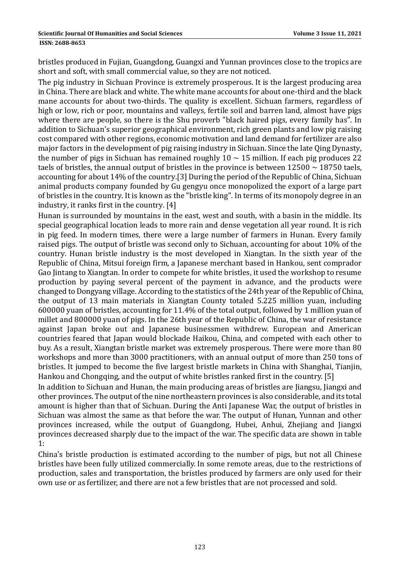#### **ISSN: 2688-8653**

bristles produced in Fujian, Guangdong, Guangxi and Yunnan provinces close to the tropics are short and soft, with small commercial value, so they are not noticed.

The pig industry in Sichuan Province is extremely prosperous. It is the largest producing area in China. There are black and white. The white mane accounts for about one-third and the black mane accounts for about two-thirds. The quality is excellent. Sichuan farmers, regardless of high or low, rich or poor, mountains and valleys, fertile soil and barren land, almost have pigs where there are people, so there is the Shu proverb "black haired pigs, every family has". In addition to Sichuan's superior geographical environment, rich green plants and low pig raising cost compared with other regions, economic motivation and land demand for fertilizer are also major factors in the development of pig raising industry in Sichuan. Since the late Qing Dynasty, the number of pigs in Sichuan has remained roughly  $10 \sim 15$  million. If each pig produces 22 taels of bristles, the annual output of bristles in the province is between  $12500 \sim 18750$  taels, accounting for about 14% of the country.[3] During the period of the Republic of China, Sichuan animal products company founded by Gu gengyu once monopolized the export of a large part of bristles in the country. It is known as the "bristle king". In terms of its monopoly degree in an industry, it ranks first in the country.  $[4]$ 

Hunan is surrounded by mountains in the east, west and south, with a basin in the middle. Its special geographical location leads to more rain and dense vegetation all year round. It is rich in pig feed. In modern times, there were a large number of farmers in Hunan. Every family raised pigs. The output of bristle was second only to Sichuan, accounting for about 10% of the country. Hunan bristle industry is the most developed in Xiangtan. In the sixth vear of the Republic of China, Mitsui foreign firm, a Japanese merchant based in Hankou, sent comprador Gao lintang to Xiangtan. In order to compete for white bristles, it used the workshop to resume production by paying several percent of the payment in advance, and the products were changed to Dongyang village. According to the statistics of the 24th year of the Republic of China, the output of 13 main materials in Xiangtan County totaled 5.225 million yuan, including 600000 yuan of bristles, accounting for 11.4% of the total output, followed by 1 million yuan of millet and 800000 yuan of pigs. In the 26th year of the Republic of China, the war of resistance against Japan broke out and Japanese businessmen withdrew. European and American countries feared that Japan would blockade Haikou, China, and competed with each other to buy. As a result, Xiangtan bristle market was extremely prosperous. There were more than 80 workshops and more than 3000 practitioners, with an annual output of more than 250 tons of bristles. It jumped to become the five largest bristle markets in China with Shanghai, Tianjin, Hankou and Chongqing, and the output of white bristles ranked first in the country. [5]

In addition to Sichuan and Hunan, the main producing areas of bristles are Jiangsu, Jiangxi and other provinces. The output of the nine northeastern provinces is also considerable, and its total amount is higher than that of Sichuan. During the Anti Japanese War, the output of bristles in Sichuan was almost the same as that before the war. The output of Hunan, Yunnan and other provinces increased, while the output of Guangdong, Hubei, Anhui, Zhejiang and Jiangxi provinces decreased sharply due to the impact of the war. The specific data are shown in table 1: 

China's bristle production is estimated according to the number of pigs, but not all Chinese bristles have been fully utilized commercially. In some remote areas, due to the restrictions of production, sales and transportation, the bristles produced by farmers are only used for their own use or as fertilizer, and there are not a few bristles that are not processed and sold.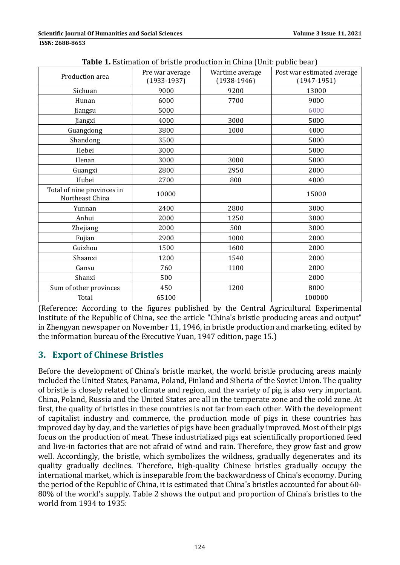| Production area                               | Pre war average<br>$(1933-1937)$ | Wartime average<br>$(1938-1946)$ | Post war estimated average<br>$(1947-1951)$ |  |
|-----------------------------------------------|----------------------------------|----------------------------------|---------------------------------------------|--|
| Sichuan                                       | 9000                             | 9200                             | 13000                                       |  |
| Hunan                                         | 6000                             | 7700                             | 9000                                        |  |
| Jiangsu                                       | 5000                             |                                  | 6000                                        |  |
| Jiangxi                                       | 4000                             | 3000                             | 5000                                        |  |
| Guangdong                                     | 3800                             | 1000                             | 4000                                        |  |
| Shandong                                      | 3500                             |                                  | 5000                                        |  |
| Hebei                                         | 3000                             |                                  | 5000                                        |  |
| Henan                                         | 3000                             | 3000                             | 5000                                        |  |
| Guangxi                                       | 2800                             | 2950                             | 2000                                        |  |
| Hubei                                         | 2700                             | 800                              | 4000                                        |  |
| Total of nine provinces in<br>Northeast China | 10000                            |                                  | 15000                                       |  |
| Yunnan                                        | 2400                             | 2800                             | 3000                                        |  |
| Anhui                                         | 2000                             | 1250                             | 3000                                        |  |
| Zhejiang                                      | 2000                             | 500                              | 3000                                        |  |
| Fujian                                        | 2900                             | 1000                             | 2000                                        |  |
| Guizhou                                       | 1500                             | 1600                             | 2000                                        |  |
| Shaanxi                                       | 1200                             | 1540                             | 2000                                        |  |
| Gansu                                         | 760                              | 1100                             | 2000                                        |  |
| Shanxi                                        | 500                              |                                  | 2000                                        |  |
| Sum of other provinces                        | 450                              | 1200                             | 8000                                        |  |
| Total                                         | 65100                            |                                  | 100000                                      |  |

**Table 1.** Estimation of bristle production in China (Unit: public bear)

(Reference: According to the figures published by the Central Agricultural Experimental Institute of the Republic of China, see the article "China's bristle producing areas and output" in Zhengyan newspaper on November 11, 1946, in bristle production and marketing, edited by the information bureau of the Executive Yuan, 1947 edition, page 15.)

# **3. Export of Chinese Bristles**

Before the development of China's bristle market, the world bristle producing areas mainly included the United States, Panama, Poland, Finland and Siberia of the Soviet Union. The quality of bristle is closely related to climate and region, and the variety of pig is also very important. China, Poland, Russia and the United States are all in the temperate zone and the cold zone. At first, the quality of bristles in these countries is not far from each other. With the development of capitalist industry and commerce, the production mode of pigs in these countries has improved day by day, and the varieties of pigs have been gradually improved. Most of their pigs focus on the production of meat. These industrialized pigs eat scientifically proportioned feed and live-in factories that are not afraid of wind and rain. Therefore, they grow fast and grow well. Accordingly, the bristle, which symbolizes the wildness, gradually degenerates and its quality gradually declines. Therefore, high-quality Chinese bristles gradually occupy the international market, which is inseparable from the backwardness of China's economy. During the period of the Republic of China, it is estimated that China's bristles accounted for about 60-80% of the world's supply. Table 2 shows the output and proportion of China's bristles to the world from 1934 to 1935: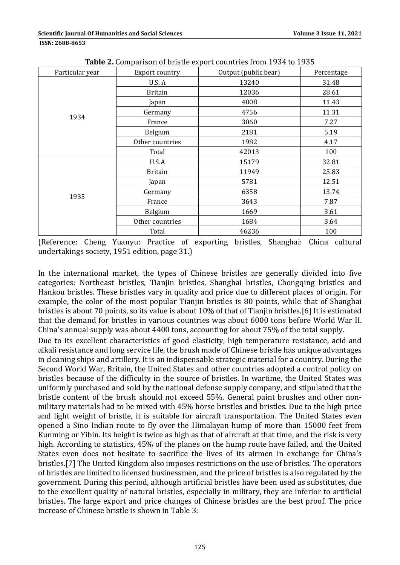| Particular year | Export country  | <b>Rapic B.</b> Gompanson of prisec export countries from 1991 to 1999<br>Output (public bear) | Percentage |
|-----------------|-----------------|------------------------------------------------------------------------------------------------|------------|
|                 | U.S. A          | 13240                                                                                          | 31.48      |
|                 | <b>Britain</b>  | 12036                                                                                          | 28.61      |
|                 | Japan           | 4808                                                                                           | 11.43      |
|                 | Germany         | 4756                                                                                           | 11.31      |
| 1934            | France          | 3060                                                                                           | 7.27       |
|                 | Belgium         | 2181                                                                                           | 5.19       |
|                 | Other countries | 1982                                                                                           | 4.17       |
|                 | Total           | 42013                                                                                          | 100        |
| 1935            | U.S.A           | 15179                                                                                          | 32.81      |
|                 | <b>Britain</b>  | 11949                                                                                          | 25.83      |
|                 | Japan           | 5781                                                                                           | 12.51      |
|                 | Germany         | 6358                                                                                           | 13.74      |
|                 | France          | 3643                                                                                           | 7.87       |
|                 | Belgium         | 1669                                                                                           | 3.61       |
|                 | Other countries | 1684                                                                                           | 3.64       |
|                 | Total           | 46236                                                                                          | 100        |

**Table 2.** Comparison of bristle export countries from 1934 to 1935

(Reference: Cheng Yuanyu: Practice of exporting bristles, Shanghai: China cultural undertakings society, 1951 edition, page 31.)

In the international market, the types of Chinese bristles are generally divided into five categories: Northeast bristles, Tianjin bristles, Shanghai bristles, Chongqing bristles and Hankou bristles. These bristles vary in quality and price due to different places of origin. For example, the color of the most popular Tianjin bristles is 80 points, while that of Shanghai bristles is about 70 points, so its value is about  $10\%$  of that of Tianjin bristles.[6] It is estimated that the demand for bristles in various countries was about 6000 tons before World War II. China's annual supply was about 4400 tons, accounting for about 75% of the total supply.

Due to its excellent characteristics of good elasticity, high temperature resistance, acid and alkali resistance and long service life, the brush made of Chinese bristle has unique advantages in cleaning ships and artillery. It is an indispensable strategic material for a country. During the Second World War, Britain, the United States and other countries adopted a control policy on bristles because of the difficulty in the source of bristles. In wartime, the United States was uniformly purchased and sold by the national defense supply company, and stipulated that the bristle content of the brush should not exceed 55%. General paint brushes and other nonmilitary materials had to be mixed with 45% horse bristles and bristles. Due to the high price and light weight of bristle, it is suitable for aircraft transportation. The United States even opened a Sino Indian route to fly over the Himalayan hump of more than 15000 feet from Kunming or Yibin. Its height is twice as high as that of aircraft at that time, and the risk is very high. According to statistics, 45% of the planes on the hump route have failed, and the United States even does not hesitate to sacrifice the lives of its airmen in exchange for China's bristles. [7] The United Kingdom also imposes restrictions on the use of bristles. The operators of bristles are limited to licensed businessmen, and the price of bristles is also regulated by the government. During this period, although artificial bristles have been used as substitutes, due to the excellent quality of natural bristles, especially in military, they are inferior to artificial bristles. The large export and price changes of Chinese bristles are the best proof. The price increase of Chinese bristle is shown in Table 3: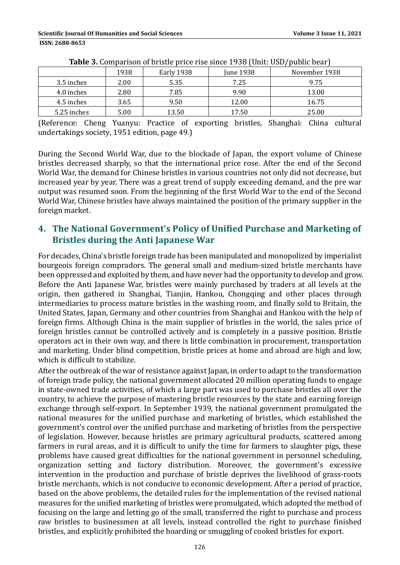|             | 1938 | Early 1938 | <b>June 1938</b> | November 1938 |
|-------------|------|------------|------------------|---------------|
| 3.5 inches  | 2.00 | 5.35       | 7.25             | 9.75          |
| 4.0 inches  | 2.80 | 7.85       | 9.90             | 13.00         |
| 4.5 inches  | 3.65 | 9.50       | 12.00            | 16.75         |
| 5.25 inches | 5.00 | 13.50      | 17.50            | 25.00         |

| <b>Table 3.</b> Comparison of bristle price rise since 1938 (Unit: USD/public bear) |  |  |  |  |
|-------------------------------------------------------------------------------------|--|--|--|--|
|-------------------------------------------------------------------------------------|--|--|--|--|

(Reference: Cheng Yuanyu: Practice of exporting bristles, Shanghai: China cultural undertakings society, 1951 edition, page 49.)

During the Second World War, due to the blockade of Japan, the export volume of Chinese bristles decreased sharply, so that the international price rose. After the end of the Second World War, the demand for Chinese bristles in various countries not only did not decrease, but increased year by year. There was a great trend of supply exceeding demand, and the pre war output was resumed soon. From the beginning of the first World War to the end of the Second World War, Chinese bristles have always maintained the position of the primary supplier in the foreign market.

### **4. The National Government's Policy of Unified Purchase and Marketing of Bristles during the Anti Japanese War**

For decades, China's bristle foreign trade has been manipulated and monopolized by imperialist bourgeois foreign compradors. The general small and medium-sized bristle merchants have been oppressed and exploited by them, and have never had the opportunity to develop and grow. Before the Anti Japanese War, bristles were mainly purchased by traders at all levels at the origin, then gathered in Shanghai, Tianjin, Hankou, Chongqing and other places through intermediaries to process mature bristles in the washing room, and finally sold to Britain, the United States, Japan, Germany and other countries from Shanghai and Hankou with the help of foreign firms. Although China is the main supplier of bristles in the world, the sales price of foreign bristles cannot be controlled actively and is completely in a passive position. Bristle operators act in their own way, and there is little combination in procurement, transportation and marketing. Under blind competition, bristle prices at home and abroad are high and low, which is difficult to stabilize.

After the outbreak of the war of resistance against Japan, in order to adapt to the transformation of foreign trade policy, the national government allocated 20 million operating funds to engage in state-owned trade activities, of which a large part was used to purchase bristles all over the country, to achieve the purpose of mastering bristle resources by the state and earning foreign exchange through self-export. In September 1939, the national government promulgated the national measures for the unified purchase and marketing of bristles, which established the government's control over the unified purchase and marketing of bristles from the perspective of legislation. However, because bristles are primary agricultural products, scattered among farmers in rural areas, and it is difficult to unify the time for farmers to slaughter pigs, these problems have caused great difficulties for the national government in personnel scheduling, organization setting and factory distribution. Moreover, the government's excessive intervention in the production and purchase of bristle deprives the livelihood of grass-roots bristle merchants, which is not conducive to economic development. After a period of practice, based on the above problems, the detailed rules for the implementation of the revised national measures for the unified marketing of bristles were promulgated, which adopted the method of focusing on the large and letting go of the small, transferred the right to purchase and process raw bristles to businessmen at all levels, instead controlled the right to purchase finished bristles, and explicitly prohibited the hoarding or smuggling of cooked bristles for export.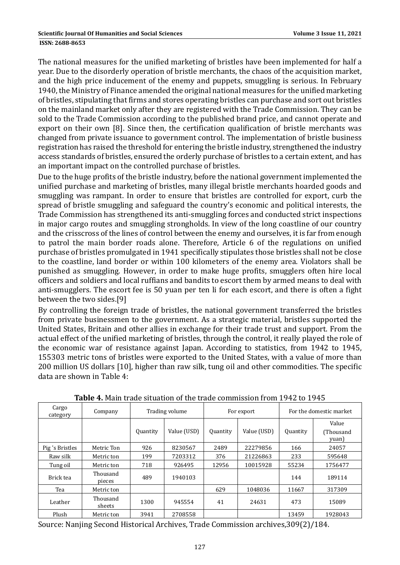#### **ISSN: 2688-8653**

The national measures for the unified marketing of bristles have been implemented for half a year. Due to the disorderly operation of bristle merchants, the chaos of the acquisition market. and the high price inducement of the enemy and puppets, smuggling is serious. In February 1940, the Ministry of Finance amended the original national measures for the unified marketing of bristles, stipulating that firms and stores operating bristles can purchase and sort out bristles on the mainland market only after they are registered with the Trade Commission. They can be sold to the Trade Commission according to the published brand price, and cannot operate and export on their own [8]. Since then, the certification qualification of bristle merchants was changed from private issuance to government control. The implementation of bristle business registration has raised the threshold for entering the bristle industry, strengthened the industry access standards of bristles, ensured the orderly purchase of bristles to a certain extent, and has an important impact on the controlled purchase of bristles.

Due to the huge profits of the bristle industry, before the national government implemented the unified purchase and marketing of bristles, many illegal bristle merchants hoarded goods and smuggling was rampant. In order to ensure that bristles are controlled for export, curb the spread of bristle smuggling and safeguard the country's economic and political interests, the Trade Commission has strengthened its anti-smuggling forces and conducted strict inspections in major cargo routes and smuggling strongholds. In view of the long coastline of our country and the crisscross of the lines of control between the enemy and ourselves, it is far from enough to patrol the main border roads alone. Therefore, Article 6 of the regulations on unified purchase of bristles promulgated in 1941 specifically stipulates those bristles shall not be close to the coastline, land border or within 100 kilometers of the enemy area. Violators shall be punished as smuggling. However, in order to make huge profits, smugglers often hire local officers and soldiers and local ruffians and bandits to escort them by armed means to deal with anti-smugglers. The escort fee is 50 yuan per ten li for each escort, and there is often a fight between the two sides.<sup>[9]</sup>

By controlling the foreign trade of bristles, the national government transferred the bristles from private businessmen to the government. As a strategic material, bristles supported the United States, Britain and other allies in exchange for their trade trust and support. From the actual effect of the unified marketing of bristles, through the control, it really played the role of the economic war of resistance against Japan. According to statistics, from 1942 to 1945, 155303 metric tons of bristles were exported to the United States, with a value of more than 200 million US dollars [10], higher than raw silk, tung oil and other commodities. The specific data are shown in Table 4:

| Cargo<br>category | Company            | Trading volume  |             | For export      |             | For the domestic market |                             |
|-------------------|--------------------|-----------------|-------------|-----------------|-------------|-------------------------|-----------------------------|
|                   |                    | <b>Quantity</b> | Value (USD) | <b>Quantity</b> | Value (USD) | Quantity                | Value<br>(Thousand<br>yuan) |
| Pig's Bristles    | Metric Ton         | 926             | 8230567     | 2489            | 22279856    | 166                     | 24057                       |
| Raw silk          | Metric ton         | 199             | 7203312     | 376             | 21226863    | 233                     | 595648                      |
| Tung oil          | Metric ton         | 718             | 926495      | 12956           | 10015928    | 55234                   | 1756477                     |
| Brick tea         | Thousand<br>pieces | 489             | 1940103     |                 |             | 144                     | 189114                      |
| Tea               | Metric ton         |                 |             | 629             | 1048036     | 11667                   | 317309                      |
| Leather           | Thousand<br>sheets | 1300            | 945554      | 41              | 24631       | 473                     | 15089                       |
| Plush             | Metric ton         | 3941            | 2708558     |                 |             | 13459                   | 1928043                     |

**Table 4.** Main trade situation of the trade commission from 1942 to 1945

Source: Nanjing Second Historical Archives, Trade Commission archives, 309(2)/184.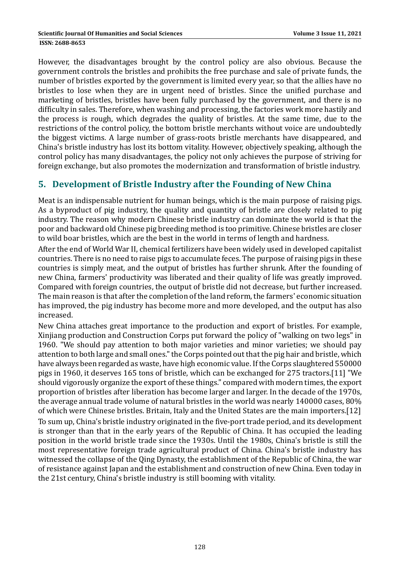However, the disadvantages brought by the control policy are also obvious. Because the government controls the bristles and prohibits the free purchase and sale of private funds, the number of bristles exported by the government is limited every year, so that the allies have no bristles to lose when they are in urgent need of bristles. Since the unified purchase and marketing of bristles, bristles have been fully purchased by the government, and there is no difficulty in sales. Therefore, when washing and processing, the factories work more hastily and the process is rough, which degrades the quality of bristles. At the same time, due to the restrictions of the control policy, the bottom bristle merchants without voice are undoubtedly the biggest victims. A large number of grass-roots bristle merchants have disappeared, and China's bristle industry has lost its bottom vitality. However, objectively speaking, although the control policy has many disadvantages, the policy not only achieves the purpose of striving for foreign exchange, but also promotes the modernization and transformation of bristle industry.

# **5. Development of Bristle Industry after the Founding of New China**

Meat is an indispensable nutrient for human beings, which is the main purpose of raising pigs. As a byproduct of pig industry, the quality and quantity of bristle are closely related to pig industry. The reason why modern Chinese bristle industry can dominate the world is that the poor and backward old Chinese pig breeding method is too primitive. Chinese bristles are closer to wild boar bristles, which are the best in the world in terms of length and hardness.

After the end of World War II, chemical fertilizers have been widely used in developed capitalist countries. There is no need to raise pigs to accumulate feces. The purpose of raising pigs in these countries is simply meat, and the output of bristles has further shrunk. After the founding of new China, farmers' productivity was liberated and their quality of life was greatly improved. Compared with foreign countries, the output of bristle did not decrease, but further increased. The main reason is that after the completion of the land reform, the farmers' economic situation has improved, the pig industry has become more and more developed, and the output has also increased. 

New China attaches great importance to the production and export of bristles. For example, Xinjiang production and Construction Corps put forward the policy of "walking on two legs" in 1960. "We should pay attention to both major varieties and minor varieties; we should pay attention to both large and small ones." the Corps pointed out that the pig hair and bristle, which have always been regarded as waste, have high economic value. If the Corps slaughtered 550000 pigs in 1960, it deserves 165 tons of bristle, which can be exchanged for 275 tractors.[11] "We should vigorously organize the export of these things." compared with modern times, the export proportion of bristles after liberation has become larger and larger. In the decade of the 1970s, the average annual trade volume of natural bristles in the world was nearly 140000 cases, 80% of which were Chinese bristles. Britain, Italy and the United States are the main importers.[12] To sum up, China's bristle industry originated in the five-port trade period, and its development is stronger than that in the early vears of the Republic of China. It has occupied the leading position in the world bristle trade since the 1930s. Until the 1980s, China's bristle is still the most representative foreign trade agricultural product of China. China's bristle industry has witnessed the collapse of the Qing Dynasty, the establishment of the Republic of China, the war of resistance against Japan and the establishment and construction of new China. Even today in the 21st century, China's bristle industry is still booming with vitality.